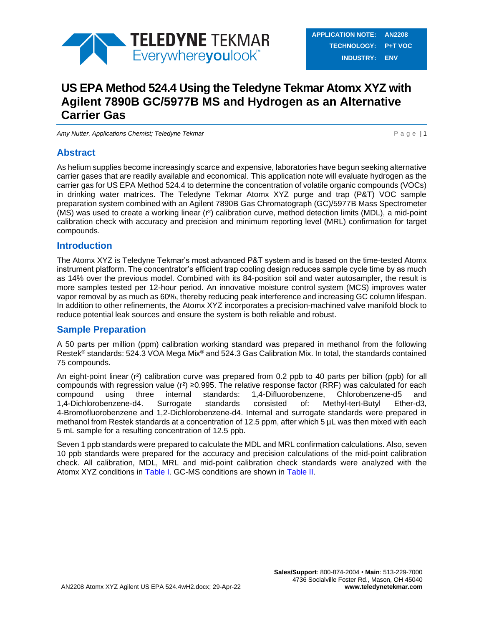

# **US EPA Method 524.4 Using the Teledyne Tekmar Atomx XYZ with Agilent 7890B GC/5977B MS and Hydrogen as an Alternative Carrier Gas**

*Amy Nutter, Applications Chemist; Teledyne Tekmar* **P and P and P a g e | 1** 

### **Abstract**

As helium supplies become increasingly scarce and expensive, laboratories have begun seeking alternative carrier gases that are readily available and economical. This application note will evaluate hydrogen as the carrier gas for US EPA Method 524.4 to determine the concentration of volatile organic compounds (VOCs) in drinking water matrices. The Teledyne Tekmar Atomx XYZ purge and trap (P&T) VOC sample preparation system combined with an Agilent 7890B Gas Chromatograph (GC)/5977B Mass Spectrometer (MS) was used to create a working linear (r²) calibration curve, method detection limits (MDL), a mid-point calibration check with accuracy and precision and minimum reporting level (MRL) confirmation for target compounds.

### **Introduction**

The Atomx XYZ is Teledyne Tekmar's most advanced P&T system and is based on the time-tested Atomx instrument platform. The concentrator's efficient trap cooling design reduces sample cycle time by as much as 14% over the previous model. Combined with its 84-position soil and water autosampler, the result is more samples tested per 12-hour period. An innovative moisture control system (MCS) improves water vapor removal by as much as 60%, thereby reducing peak interference and increasing GC column lifespan. In addition to other refinements, the Atomx XYZ incorporates a precision-machined valve manifold block to reduce potential leak sources and ensure the system is both reliable and robust.

## **Sample Preparation**

A 50 parts per million (ppm) calibration working standard was prepared in methanol from the following Restek® standards: 524.3 VOA Mega Mix® and 524.3 Gas Calibration Mix. In total, the standards contained 75 compounds.

An eight-point linear (r<sup>2</sup>) calibration curve was prepared from 0.2 ppb to 40 parts per billion (ppb) for all compounds with regression value (r²) ≥0.995. The relative response factor (RRF) was calculated for each compound using three internal standards: 1,4-Difluorobenzene, Chlorobenzene-d5 and 1,4-Dichlorobenzene-d4. Surrogate standards consisted of: Methyl-tert-Butyl Ether-d3, 4-Bromofluorobenzene and 1,2-Dichlorobenzene-d4. Internal and surrogate standards were prepared in methanol from Restek standards at a concentration of 12.5 ppm, after which 5 µL was then mixed with each 5 mL sample for a resulting concentration of 12.5 ppb.

Seven 1 ppb standards were prepared to calculate the MDL and MRL confirmation calculations. Also, seven 10 ppb standards were prepared for the accuracy and precision calculations of the mid-point calibration check. All calibration, MDL, MRL and mid-point calibration check standards were analyzed with the Atomx XYZ conditions in [Table I.](#page-1-0) GC-MS conditions are shown in [Table II.](#page-2-0)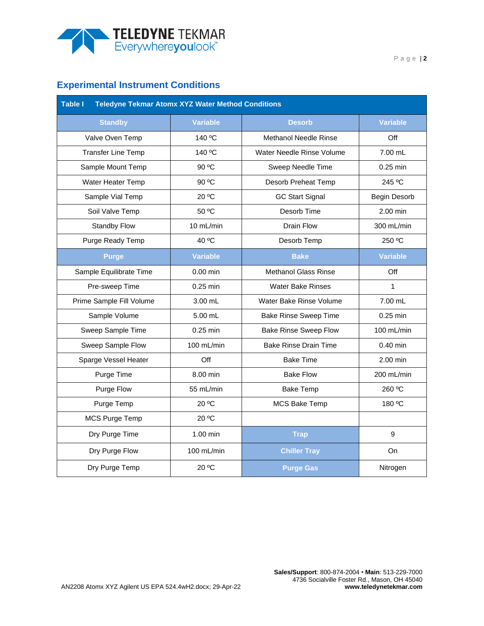

# **Experimental Instrument Conditions**

<span id="page-1-0"></span>

| <b>Table I</b><br><b>Teledyne Tekmar Atomx XYZ Water Method Conditions</b> |                 |                              |                 |  |  |  |  |  |  |
|----------------------------------------------------------------------------|-----------------|------------------------------|-----------------|--|--|--|--|--|--|
| <b>Standby</b>                                                             | <b>Variable</b> | <b>Desorb</b>                | <b>Variable</b> |  |  |  |  |  |  |
| Valve Oven Temp                                                            | 140 °C          | <b>Methanol Needle Rinse</b> | Off             |  |  |  |  |  |  |
| <b>Transfer Line Temp</b>                                                  | 140 °C          | Water Needle Rinse Volume    | $7.00$ mL       |  |  |  |  |  |  |
| Sample Mount Temp                                                          | 90 °C           | Sweep Needle Time            | $0.25$ min      |  |  |  |  |  |  |
| Water Heater Temp                                                          | 90 °C           | Desorb Preheat Temp          | 245 °C          |  |  |  |  |  |  |
| Sample Vial Temp                                                           | 20 °C           | <b>GC Start Signal</b>       | Begin Desorb    |  |  |  |  |  |  |
| Soil Valve Temp                                                            | 50 °C           | Desorb Time                  | $2.00$ min      |  |  |  |  |  |  |
| Standby Flow                                                               | 10 mL/min       | Drain Flow                   | 300 mL/min      |  |  |  |  |  |  |
| Purge Ready Temp                                                           | 40 °C           | Desorb Temp                  | 250 °C          |  |  |  |  |  |  |
| <b>Purge</b>                                                               | <b>Variable</b> | <b>Bake</b>                  | <b>Variable</b> |  |  |  |  |  |  |
| Sample Equilibrate Time                                                    | $0.00$ min      | <b>Methanol Glass Rinse</b>  | Off             |  |  |  |  |  |  |
| Pre-sweep Time                                                             | $0.25$ min      | <b>Water Bake Rinses</b>     | $\mathbf{1}$    |  |  |  |  |  |  |
| Prime Sample Fill Volume                                                   | 3.00 mL         | Water Bake Rinse Volume      | 7.00 mL         |  |  |  |  |  |  |
| Sample Volume                                                              | 5.00 mL         | <b>Bake Rinse Sweep Time</b> | $0.25$ min      |  |  |  |  |  |  |
| Sweep Sample Time                                                          | $0.25$ min      | <b>Bake Rinse Sweep Flow</b> | 100 mL/min      |  |  |  |  |  |  |
| Sweep Sample Flow                                                          | 100 mL/min      | <b>Bake Rinse Drain Time</b> | $0.40$ min      |  |  |  |  |  |  |
| Sparge Vessel Heater                                                       | Off             | <b>Bake Time</b>             | 2.00 min        |  |  |  |  |  |  |
| Purge Time                                                                 | 8.00 min        | <b>Bake Flow</b>             | 200 mL/min      |  |  |  |  |  |  |
| Purge Flow                                                                 | 55 mL/min       | <b>Bake Temp</b>             | 260 °C          |  |  |  |  |  |  |
| Purge Temp                                                                 | 20 °C           | <b>MCS Bake Temp</b>         | 180 °C          |  |  |  |  |  |  |
| MCS Purge Temp                                                             | 20 °C           |                              |                 |  |  |  |  |  |  |
| Dry Purge Time                                                             | 1.00 min        | <b>Trap</b>                  | 9               |  |  |  |  |  |  |
| Dry Purge Flow                                                             | 100 mL/min      | <b>Chiller Tray</b>          | On              |  |  |  |  |  |  |
| Dry Purge Temp                                                             | 20 °C           | <b>Purge Gas</b>             | Nitrogen        |  |  |  |  |  |  |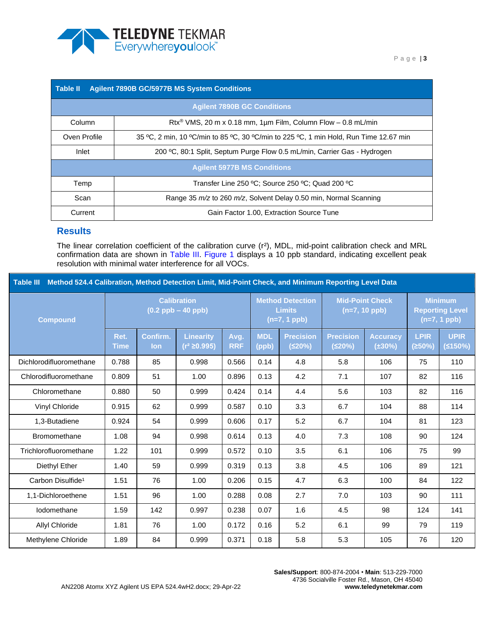

<span id="page-2-0"></span>

| <b>Agilent 7890B GC/5977B MS System Conditions</b><br><b>Table II</b> |                                                                                       |  |  |  |  |  |  |  |  |
|-----------------------------------------------------------------------|---------------------------------------------------------------------------------------|--|--|--|--|--|--|--|--|
|                                                                       | <b>Agilent 7890B GC Conditions</b>                                                    |  |  |  |  |  |  |  |  |
| Column                                                                | Rtx <sup>®</sup> VMS, 20 m x 0.18 mm, 1 $\mu$ m Film, Column Flow - 0.8 mL/min        |  |  |  |  |  |  |  |  |
| Oven Profile                                                          | 35 °C, 2 min, 10 °C/min to 85 °C, 30 °C/min to 225 °C, 1 min Hold, Run Time 12.67 min |  |  |  |  |  |  |  |  |
| Inlet                                                                 | 200 °C, 80:1 Split, Septum Purge Flow 0.5 mL/min, Carrier Gas - Hydrogen              |  |  |  |  |  |  |  |  |
|                                                                       | <b>Agilent 5977B MS Conditions</b>                                                    |  |  |  |  |  |  |  |  |
| Temp                                                                  | Transfer Line 250 °C; Source 250 °C; Quad 200 °C                                      |  |  |  |  |  |  |  |  |
| Scan                                                                  | Range 35 m/z to 260 m/z, Solvent Delay 0.50 min, Normal Scanning                      |  |  |  |  |  |  |  |  |
| Current                                                               | Gain Factor 1.00, Extraction Source Tune                                              |  |  |  |  |  |  |  |  |

### **Results**

The linear correlation coefficient of the calibration curve (r²), MDL, mid-point calibration check and MRL confirmation data are shown in [Table III.](#page-2-1) [Figure 1](#page-5-0) displays a 10 ppb standard, indicating excellent peak resolution with minimal water interference for all VOCs.

<span id="page-2-1"></span>

| Method 524.4 Calibration, Method Detection Limit, Mid-Point Check, and Minimum Reporting Level Data<br><b>Table III</b> |                                              |                 |                                       |                    |                                                            |                            |                                           |                                 |                                                            |                        |
|-------------------------------------------------------------------------------------------------------------------------|----------------------------------------------|-----------------|---------------------------------------|--------------------|------------------------------------------------------------|----------------------------|-------------------------------------------|---------------------------------|------------------------------------------------------------|------------------------|
| <b>Compound</b>                                                                                                         | <b>Calibration</b><br>$(0.2$ ppb $-$ 40 ppb) |                 |                                       |                    | <b>Method Detection</b><br><b>Limits</b><br>$(n=7, 1$ ppb) |                            | <b>Mid-Point Check</b><br>$(n=7, 10$ ppb) |                                 | <b>Minimum</b><br><b>Reporting Level</b><br>$(n=7, 1$ ppb) |                        |
|                                                                                                                         | Ret.<br>Time                                 | Confirm.<br>lon | <b>Linearity</b><br>$(r^2 \ge 0.995)$ | Avg.<br><b>RRF</b> | <b>MDL</b><br>(ppb)                                        | <b>Precision</b><br>(520%) | <b>Precision</b><br>(520%)                | <b>Accuracy</b><br>$(\pm 30\%)$ | <b>LPIR</b><br>(250%)                                      | <b>UPIR</b><br>(≤150%) |
| Dichlorodifluoromethane                                                                                                 | 0.788                                        | 85              | 0.998                                 | 0.566              | 0.14                                                       | 4.8                        | 5.8                                       | 106                             | 75                                                         | 110                    |
| Chlorodifluoromethane                                                                                                   | 0.809                                        | 51              | 1.00                                  | 0.896              | 0.13                                                       | 4.2                        | 7.1                                       | 107                             | 82                                                         | 116                    |
| Chloromethane                                                                                                           | 0.880                                        | 50              | 0.999                                 | 0.424              | 0.14                                                       | 4.4                        | 5.6                                       | 103                             | 82                                                         | 116                    |
| Vinyl Chloride                                                                                                          | 0.915                                        | 62              | 0.999                                 | 0.587              | 0.10                                                       | 3.3                        | 6.7                                       | 104                             | 88                                                         | 114                    |
| 1,3-Butadiene                                                                                                           | 0.924                                        | 54              | 0.999                                 | 0.606              | 0.17                                                       | 5.2                        | 6.7                                       | 104                             | 81                                                         | 123                    |
| <b>Bromomethane</b>                                                                                                     | 1.08                                         | 94              | 0.998                                 | 0.614              | 0.13                                                       | 4.0                        | 7.3                                       | 108                             | 90                                                         | 124                    |
| Trichlorofluoromethane                                                                                                  | 1.22                                         | 101             | 0.999                                 | 0.572              | 0.10                                                       | 3.5                        | 6.1                                       | 106                             | 75                                                         | 99                     |
| Diethyl Ether                                                                                                           | 1.40                                         | 59              | 0.999                                 | 0.319              | 0.13                                                       | 3.8                        | 4.5                                       | 106                             | 89                                                         | 121                    |
| Carbon Disulfide <sup>1</sup>                                                                                           | 1.51                                         | 76              | 1.00                                  | 0.206              | 0.15                                                       | 4.7                        | 6.3                                       | 100                             | 84                                                         | 122                    |
| 1,1-Dichloroethene                                                                                                      | 1.51                                         | 96              | 1.00                                  | 0.288              | 0.08                                                       | 2.7                        | 7.0                                       | 103                             | 90                                                         | 111                    |
| lodomethane                                                                                                             | 1.59                                         | 142             | 0.997                                 | 0.238              | 0.07                                                       | 1.6                        | 4.5                                       | 98                              | 124                                                        | 141                    |
| Allyl Chloride                                                                                                          | 1.81                                         | 76              | 1.00                                  | 0.172              | 0.16                                                       | 5.2                        | 6.1                                       | 99                              | 79                                                         | 119                    |
| Methylene Chloride                                                                                                      | 1.89                                         | 84              | 0.999                                 | 0.371              | 0.18                                                       | 5.8                        | 5.3                                       | 105                             | 76                                                         | 120                    |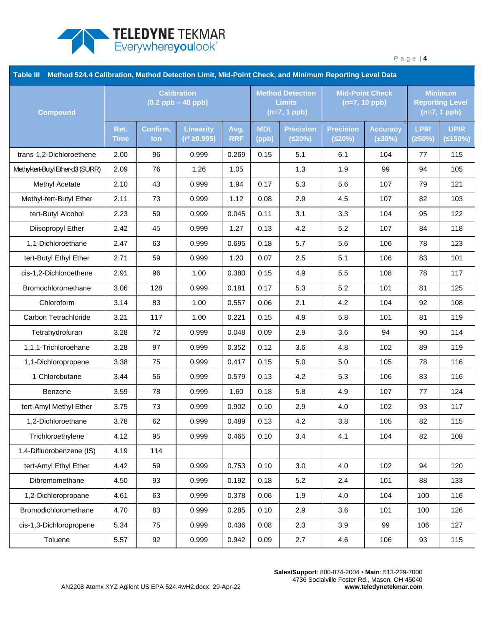

| <b>Table III</b><br>Method 524.4 Calibration, Method Detection Limit, Mid-Point Check, and Minimum Reporting Level Data |                                              |                        |                                     |                    |                                                            |                            |                                           |                                 |                                                            |                        |
|-------------------------------------------------------------------------------------------------------------------------|----------------------------------------------|------------------------|-------------------------------------|--------------------|------------------------------------------------------------|----------------------------|-------------------------------------------|---------------------------------|------------------------------------------------------------|------------------------|
| <b>Compound</b>                                                                                                         | <b>Calibration</b><br>$(0.2$ ppb $-$ 40 ppb) |                        |                                     |                    | <b>Method Detection</b><br><b>Limits</b><br>$(n=7, 1$ ppb) |                            | <b>Mid-Point Check</b><br>$(n=7, 10$ ppb) |                                 | <b>Minimum</b><br><b>Reporting Level</b><br>$(n=7, 1$ ppb) |                        |
|                                                                                                                         | Ret.<br><b>Time</b>                          | Confirm.<br><b>lon</b> | <b>Linearity</b><br>$(r^2 ≥ 0.995)$ | Avg.<br><b>RRF</b> | <b>MDL</b><br>(ppb)                                        | <b>Precision</b><br>(520%) | <b>Precision</b><br>(520%)                | <b>Accuracy</b><br>$(\pm 30\%)$ | <b>LPIR</b><br>(≥50%)                                      | <b>UPIR</b><br>(5150%) |
| trans-1,2-Dichloroethene                                                                                                | 2.00                                         | 96                     | 0.999                               | 0.269              | 0.15                                                       | 5.1                        | 6.1                                       | 104                             | 77                                                         | 115                    |
| Methyl-tert-Butyl Ether-d3 (SURR)                                                                                       | 2.09                                         | 76                     | 1.26                                | 1.05               |                                                            | 1.3                        | 1.9                                       | 99                              | 94                                                         | 105                    |
| Methyl Acetate                                                                                                          | 2.10                                         | 43                     | 0.999                               | 1.94               | 0.17                                                       | 5.3                        | 5.6                                       | 107                             | 79                                                         | 121                    |
| Methyl-tert-Butyl Ether                                                                                                 | 2.11                                         | 73                     | 0.999                               | 1.12               | 0.08                                                       | 2.9                        | 4.5                                       | 107                             | 82                                                         | 103                    |
| tert-Butyl Alcohol                                                                                                      | 2.23                                         | 59                     | 0.999                               | 0.045              | 0.11                                                       | 3.1                        | 3.3                                       | 104                             | 95                                                         | 122                    |
| Diisopropyl Ether                                                                                                       | 2.42                                         | 45                     | 0.999                               | 1.27               | 0.13                                                       | 4.2                        | 5.2                                       | 107                             | 84                                                         | 118                    |
| 1,1-Dichloroethane                                                                                                      | 2.47                                         | 63                     | 0.999                               | 0.695              | 0.18                                                       | 5.7                        | 5.6                                       | 106                             | 78                                                         | 123                    |
| tert-Butyl Ethyl Ether                                                                                                  | 2.71                                         | 59                     | 0.999                               | 1.20               | 0.07                                                       | 2.5                        | 5.1                                       | 106                             | 83                                                         | 101                    |
| cis-1,2-Dichloroethene                                                                                                  | 2.91                                         | 96                     | 1.00                                | 0.380              | 0.15                                                       | 4.9                        | 5.5                                       | 108                             | 78                                                         | 117                    |
| Bromochloromethane                                                                                                      | 3.06                                         | 128                    | 0.999                               | 0.181              | 0.17                                                       | 5.3                        | 5.2                                       | 101                             | 81                                                         | 125                    |
| Chloroform                                                                                                              | 3.14                                         | 83                     | 1.00                                | 0.557              | 0.06                                                       | 2.1                        | 4.2                                       | 104                             | 92                                                         | 108                    |
| Carbon Tetrachloride                                                                                                    | 3.21                                         | 117                    | 1.00                                | 0.221              | 0.15                                                       | 4.9                        | 5.8                                       | 101                             | 81                                                         | 119                    |
| Tetrahydrofuran                                                                                                         | 3.28                                         | 72                     | 0.999                               | 0.048              | 0.09                                                       | 2.9                        | 3.6                                       | 94                              | 90                                                         | 114                    |
| 1,1,1-Trichloroehane                                                                                                    | 3.28                                         | 97                     | 0.999                               | 0.352              | 0.12                                                       | 3.6                        | 4.8                                       | 102                             | 89                                                         | 119                    |
| 1,1-Dichloropropene                                                                                                     | 3.38                                         | 75                     | 0.999                               | 0.417              | 0.15                                                       | 5.0                        | 5.0                                       | 105                             | 78                                                         | 116                    |
| 1-Chlorobutane                                                                                                          | 3.44                                         | 56                     | 0.999                               | 0.579              | 0.13                                                       | 4.2                        | 5.3                                       | 106                             | 83                                                         | 116                    |
| Benzene                                                                                                                 | 3.59                                         | 78                     | 0.999                               | 1.60               | 0.18                                                       | 5.8                        | 4.9                                       | 107                             | 77                                                         | 124                    |
| tert-Amyl Methyl Ether                                                                                                  | 3.75                                         | 73                     | 0.999                               | 0.902              | 0.10                                                       | 2.9                        | 4.0                                       | 102                             | 93                                                         | 117                    |
| 1,2-Dichloroethane                                                                                                      | 3.78                                         | 62                     | 0.999                               | 0.489              | 0.13                                                       | 4.2                        | 3.8                                       | 105                             | 82                                                         | 115                    |
| Trichloroethylene                                                                                                       | 4.12                                         | 95                     | 0.999                               | 0.465              | 0.10                                                       | 3.4                        | 4.1                                       | 104                             | 82                                                         | 108                    |
| 1,4-Difluorobenzene (IS)                                                                                                | 4.19                                         | 114                    |                                     |                    |                                                            |                            |                                           |                                 |                                                            |                        |
| tert-Amyl Ethyl Ether                                                                                                   | 4.42                                         | 59                     | 0.999                               | 0.753              | 0.10                                                       | 3.0                        | 4.0                                       | 102                             | 94                                                         | 120                    |
| Dibromomethane                                                                                                          | 4.50                                         | 93                     | 0.999                               | 0.192              | 0.18                                                       | 5.2                        | 2.4                                       | 101                             | 88                                                         | 133                    |
| 1,2-Dichloropropane                                                                                                     | 4.61                                         | 63                     | 0.999                               | 0.378              | 0.06                                                       | 1.9                        | 4.0                                       | 104                             | 100                                                        | 116                    |
| Bromodichloromethane                                                                                                    | 4.70                                         | 83                     | 0.999                               | 0.285              | 0.10                                                       | 2.9                        | 3.6                                       | 101                             | 100                                                        | 126                    |
| cis-1,3-Dichloropropene                                                                                                 | 5.34                                         | 75                     | 0.999                               | 0.436              | 0.08                                                       | 2.3                        | 3.9                                       | 99                              | 106                                                        | 127                    |
| Toluene                                                                                                                 | 5.57                                         | 92                     | 0.999                               | 0.942              | 0.09                                                       | 2.7                        | 4.6                                       | 106                             | 93                                                         | 115                    |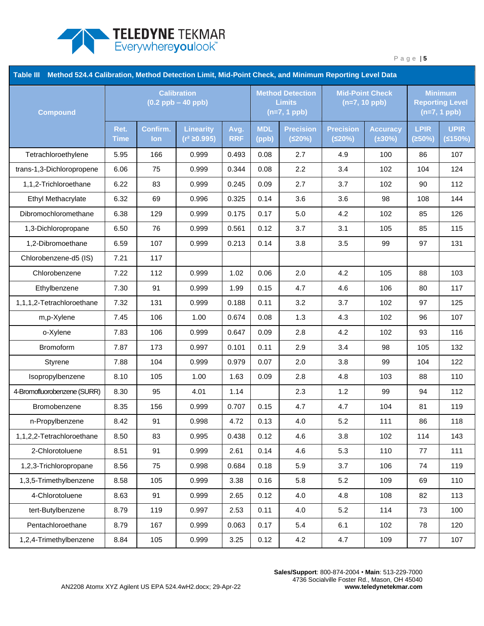

| Table III<br>Method 524.4 Calibration, Method Detection Limit, Mid-Point Check, and Minimum Reporting Level Data |                                              |                 |                                     |                    |                                                            |                            |                                           |                                 |                                                            |                        |
|------------------------------------------------------------------------------------------------------------------|----------------------------------------------|-----------------|-------------------------------------|--------------------|------------------------------------------------------------|----------------------------|-------------------------------------------|---------------------------------|------------------------------------------------------------|------------------------|
| <b>Compound</b>                                                                                                  | <b>Calibration</b><br>$(0.2$ ppb $-$ 40 ppb) |                 |                                     |                    | <b>Method Detection</b><br><b>Limits</b><br>$(n=7, 1$ ppb) |                            | <b>Mid-Point Check</b><br>$(n=7, 10$ ppb) |                                 | <b>Minimum</b><br><b>Reporting Level</b><br>$(n=7, 1$ ppb) |                        |
|                                                                                                                  | Ret.<br><b>Time</b>                          | Confirm.<br>lon | <b>Linearity</b><br>$(r^2 ≥ 0.995)$ | Avg.<br><b>RRF</b> | <b>MDL</b><br>(ppb)                                        | <b>Precision</b><br>(520%) | <b>Precision</b><br>(520%)                | <b>Accuracy</b><br>$(\pm 30\%)$ | <b>LPIR</b><br>(250%)                                      | <b>UPIR</b><br>(5150%) |
| Tetrachloroethylene                                                                                              | 5.95                                         | 166             | 0.999                               | 0.493              | 0.08                                                       | 2.7                        | 4.9                                       | 100                             | 86                                                         | 107                    |
| trans-1,3-Dichloropropene                                                                                        | 6.06                                         | 75              | 0.999                               | 0.344              | 0.08                                                       | 2.2                        | 3.4                                       | 102                             | 104                                                        | 124                    |
| 1,1,2-Trichloroethane                                                                                            | 6.22                                         | 83              | 0.999                               | 0.245              | 0.09                                                       | 2.7                        | 3.7                                       | 102                             | 90                                                         | 112                    |
| Ethyl Methacrylate                                                                                               | 6.32                                         | 69              | 0.996                               | 0.325              | 0.14                                                       | 3.6                        | 3.6                                       | 98                              | 108                                                        | 144                    |
| Dibromochloromethane                                                                                             | 6.38                                         | 129             | 0.999                               | 0.175              | 0.17                                                       | 5.0                        | 4.2                                       | 102                             | 85                                                         | 126                    |
| 1,3-Dichloropropane                                                                                              | 6.50                                         | 76              | 0.999                               | 0.561              | 0.12                                                       | 3.7                        | 3.1                                       | 105                             | 85                                                         | 115                    |
| 1,2-Dibromoethane                                                                                                | 6.59                                         | 107             | 0.999                               | 0.213              | 0.14                                                       | 3.8                        | 3.5                                       | 99                              | 97                                                         | 131                    |
| Chlorobenzene-d5 (IS)                                                                                            | 7.21                                         | 117             |                                     |                    |                                                            |                            |                                           |                                 |                                                            |                        |
| Chlorobenzene                                                                                                    | 7.22                                         | 112             | 0.999                               | 1.02               | 0.06                                                       | 2.0                        | 4.2                                       | 105                             | 88                                                         | 103                    |
| Ethylbenzene                                                                                                     | 7.30                                         | 91              | 0.999                               | 1.99               | 0.15                                                       | 4.7                        | 4.6                                       | 106                             | 80                                                         | 117                    |
| 1,1,1,2-Tetrachloroethane                                                                                        | 7.32                                         | 131             | 0.999                               | 0.188              | 0.11                                                       | 3.2                        | 3.7                                       | 102                             | 97                                                         | 125                    |
| m,p-Xylene                                                                                                       | 7.45                                         | 106             | 1.00                                | 0.674              | 0.08                                                       | 1.3                        | 4.3                                       | 102                             | 96                                                         | 107                    |
| o-Xylene                                                                                                         | 7.83                                         | 106             | 0.999                               | 0.647              | 0.09                                                       | 2.8                        | 4.2                                       | 102                             | 93                                                         | 116                    |
| <b>Bromoform</b>                                                                                                 | 7.87                                         | 173             | 0.997                               | 0.101              | 0.11                                                       | 2.9                        | 3.4                                       | 98                              | 105                                                        | 132                    |
| Styrene                                                                                                          | 7.88                                         | 104             | 0.999                               | 0.979              | 0.07                                                       | 2.0                        | 3.8                                       | 99                              | 104                                                        | 122                    |
| Isopropylbenzene                                                                                                 | 8.10                                         | 105             | 1.00                                | 1.63               | 0.09                                                       | 2.8                        | 4.8                                       | 103                             | 88                                                         | 110                    |
| 4-Bromofluorobenzene (SURR)                                                                                      | 8.30                                         | 95              | 4.01                                | 1.14               |                                                            | 2.3                        | 1.2                                       | 99                              | 94                                                         | 112                    |
| Bromobenzene                                                                                                     | 8.35                                         | 156             | 0.999                               | 0.707              | 0.15                                                       | 4.7                        | 4.7                                       | 104                             | 81                                                         | 119                    |
| n-Propylbenzene                                                                                                  | 8.42                                         | 91              | 0.998                               | 4.72               | 0.13                                                       | 4.0                        | 5.2                                       | 111                             | 86                                                         | 118                    |
| 1,1,2,2-Tetrachloroethane                                                                                        | 8.50                                         | 83              | 0.995                               | 0.438              | 0.12                                                       | 4.6                        | 3.8                                       | 102                             | 114                                                        | 143                    |
| 2-Chlorotoluene                                                                                                  | 8.51                                         | 91              | 0.999                               | 2.61               | 0.14                                                       | 4.6                        | 5.3                                       | 110                             | 77                                                         | 111                    |
| 1,2,3-Trichloropropane                                                                                           | 8.56                                         | 75              | 0.998                               | 0.684              | 0.18                                                       | 5.9                        | 3.7                                       | 106                             | 74                                                         | 119                    |
| 1,3,5-Trimethylbenzene                                                                                           | 8.58                                         | 105             | 0.999                               | 3.38               | 0.16                                                       | 5.8                        | 5.2                                       | 109                             | 69                                                         | 110                    |
| 4-Chlorotoluene                                                                                                  | 8.63                                         | 91              | 0.999                               | 2.65               | 0.12                                                       | 4.0                        | 4.8                                       | 108                             | 82                                                         | 113                    |
| tert-Butylbenzene                                                                                                | 8.79                                         | 119             | 0.997                               | 2.53               | 0.11                                                       | 4.0                        | 5.2                                       | 114                             | 73                                                         | 100                    |
| Pentachloroethane                                                                                                | 8.79                                         | 167             | 0.999                               | 0.063              | 0.17                                                       | 5.4                        | 6.1                                       | 102                             | 78                                                         | 120                    |
| 1,2,4-Trimethylbenzene                                                                                           | 8.84                                         | 105             | 0.999                               | 3.25               | 0.12                                                       | 4.2                        | 4.7                                       | 109                             | 77                                                         | 107                    |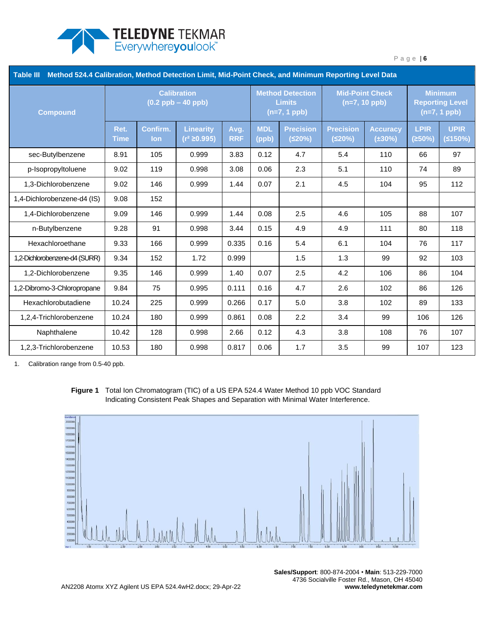

| Table III<br>Method 524.4 Calibration, Method Detection Limit, Mid-Point Check, and Minimum Reporting Level Data |                                              |                 |                                       |                    |                                                            |                            |                                           |                                 |                                                            |                        |
|------------------------------------------------------------------------------------------------------------------|----------------------------------------------|-----------------|---------------------------------------|--------------------|------------------------------------------------------------|----------------------------|-------------------------------------------|---------------------------------|------------------------------------------------------------|------------------------|
| <b>Compound</b>                                                                                                  | <b>Calibration</b><br>$(0.2$ ppb $-$ 40 ppb) |                 |                                       |                    | <b>Method Detection</b><br><b>Limits</b><br>$(n=7, 1$ ppb) |                            | <b>Mid-Point Check</b><br>$(n=7, 10$ ppb) |                                 | <b>Minimum</b><br><b>Reporting Level</b><br>$(n=7, 1$ ppb) |                        |
|                                                                                                                  | Ret.<br><b>Time</b>                          | Confirm.<br>lon | <b>Linearity</b><br>$(r^2 \ge 0.995)$ | Avg.<br><b>RRF</b> | <b>MDL</b><br>(ppb)                                        | <b>Precision</b><br>(≤20%) | <b>Precision</b><br>(520%)                | <b>Accuracy</b><br>$(\pm 30\%)$ | <b>LPIR</b><br>(250%)                                      | <b>UPIR</b><br>(5150%) |
| sec-Butylbenzene                                                                                                 | 8.91                                         | 105             | 0.999                                 | 3.83               | 0.12                                                       | 4.7                        | 5.4                                       | 110                             | 66                                                         | 97                     |
| p-Isopropyltoluene                                                                                               | 9.02                                         | 119             | 0.998                                 | 3.08               | 0.06                                                       | 2.3                        | 5.1                                       | 110                             | 74                                                         | 89                     |
| 1,3-Dichlorobenzene                                                                                              | 9.02                                         | 146             | 0.999                                 | 1.44               | 0.07                                                       | 2.1                        | 4.5                                       | 104                             | 95                                                         | 112                    |
| 1,4-Dichlorobenzene-d4 (IS)                                                                                      | 9.08                                         | 152             |                                       |                    |                                                            |                            |                                           |                                 |                                                            |                        |
| 1,4-Dichlorobenzene                                                                                              | 9.09                                         | 146             | 0.999                                 | 1.44               | 0.08                                                       | 2.5                        | 4.6                                       | 105                             | 88                                                         | 107                    |
| n-Butylbenzene                                                                                                   | 9.28                                         | 91              | 0.998                                 | 3.44               | 0.15                                                       | 4.9                        | 4.9                                       | 111                             | 80                                                         | 118                    |
| Hexachloroethane                                                                                                 | 9.33                                         | 166             | 0.999                                 | 0.335              | 0.16                                                       | 5.4                        | 6.1                                       | 104                             | 76                                                         | 117                    |
| 1,2-Dichlorobenzene-d4 (SURR)                                                                                    | 9.34                                         | 152             | 1.72                                  | 0.999              |                                                            | 1.5                        | 1.3                                       | 99                              | 92                                                         | 103                    |
| 1,2-Dichlorobenzene                                                                                              | 9.35                                         | 146             | 0.999                                 | 1.40               | 0.07                                                       | 2.5                        | 4.2                                       | 106                             | 86                                                         | 104                    |
| 1,2-Dibromo-3-Chloropropane                                                                                      | 9.84                                         | 75              | 0.995                                 | 0.111              | 0.16                                                       | 4.7                        | 2.6                                       | 102                             | 86                                                         | 126                    |
| Hexachlorobutadiene                                                                                              | 10.24                                        | 225             | 0.999                                 | 0.266              | 0.17                                                       | 5.0                        | 3.8                                       | 102                             | 89                                                         | 133                    |
| 1,2,4-Trichlorobenzene                                                                                           | 10.24                                        | 180             | 0.999                                 | 0.861              | 0.08                                                       | 2.2                        | 3.4                                       | 99                              | 106                                                        | 126                    |
| Naphthalene                                                                                                      | 10.42                                        | 128             | 0.998                                 | 2.66               | 0.12                                                       | 4.3                        | 3.8                                       | 108                             | 76                                                         | 107                    |
| 1,2,3-Trichlorobenzene                                                                                           | 10.53                                        | 180             | 0.998                                 | 0.817              | 0.06                                                       | 1.7                        | 3.5                                       | 99                              | 107                                                        | 123                    |

1. Calibration range from 0.5-40 ppb.

<span id="page-5-0"></span>